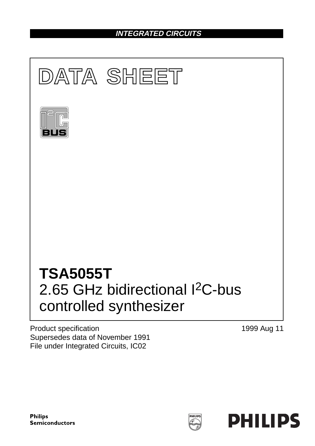## **INTEGRATED CIRCUITS**



Product specification Supersedes data of November 1991 File under Integrated Circuits, IC02

1999 Aug 11

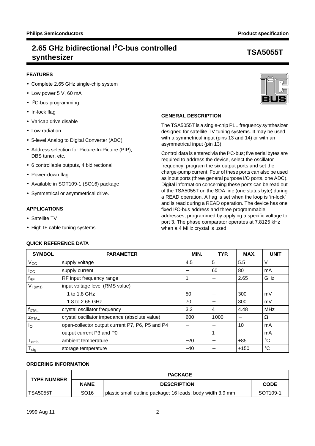## **2.65 GHz bidirectional I2C-bus controlled synthesizer TSA5055T**

## **FEATURES**

- Complete 2.65 GHz single-chip system
- Low power 5 V, 60 mA
- I 2C-bus programming
- In-lock flag
- Varicap drive disable
- Low radiation
- 5-level Analog to Digital Converter (ADC)
- Address selection for Picture-In-Picture (PIP), DBS tuner, etc.
- 6 controllable outputs, 4 bidirectional
- Power-down flag
- Available in SOT109-1 (SO16) package
- Symmetrical or asymmetrical drive.

## **APPLICATIONS**

- Satellite TV
- High IF cable tuning systems.

## **QUICK REFERENCE DATA**



## **GENERAL DESCRIPTION**

The TSA5055T is a single-chip PLL frequency synthesizer designed for satellite TV tuning systems. It may be used with a symmetrical input (pins 13 and 14) or with an asymmetrical input (pin 13).

Control data is entered via the I2C-bus; five serial bytes are required to address the device, select the oscillator frequency, program the six output ports and set the charge-pump current. Four of these ports can also be used as input ports (three general purpose I/O ports, one ADC). Digital information concerning these ports can be read out of the TSA5055T on the SDA line (one status byte) during a READ operation. A flag is set when the loop is 'in-lock' and is read during a READ operation. The device has one fixed I2C-bus address and three programmable addresses, programmed by applying a specific voltage to port 3. The phase comparator operates at 7.8125 kHz when a 4 MHz crystal is used.

| <b>SYMBOL</b>     | <b>PARAMETER</b>                                | MIN.            | TYP. | MAX.                     | <b>UNIT</b> |
|-------------------|-------------------------------------------------|-----------------|------|--------------------------|-------------|
| $V_{\rm CC}$      | supply voltage                                  | 4.5             | 5    | 5.5                      | V           |
| $I_{\rm CC}$      | supply current                                  |                 | 60   | 80                       | mA          |
| $f_{RF}$          | RF input frequency range                        | 1               | —    | 2.65                     | GHz         |
| $V_{I(rms)}$      | input voltage level (RMS value)                 |                 |      |                          |             |
|                   | 1 to 1.8 GHz                                    | 50              |      | 300                      | mV          |
|                   | 1.8 to 2.65 GHz                                 | 70              |      | 300                      | mV          |
| $f_{\text{XTAL}}$ | crystal oscillator frequency                    | 3.2             | 4    | 4.48                     | <b>MHz</b>  |
| ZXTAL             | crystal oscillator impedance (absolute value)   | 600             | 1000 |                          | Ω           |
| $I_{\rm O}$       | open-collector output current P7, P6, P5 and P4 |                 |      | 10                       | mA          |
|                   | output current P3 and P0                        | $\qquad \qquad$ |      | $\overline{\phantom{0}}$ | mA          |
| $T_{amb}$         | ambient temperature                             | $-20$           |      | $+85$                    | $^{\circ}C$ |
| $T_{\text{stg}}$  | storage temperature                             | $-40$           |      | $+150$                   | $^{\circ}C$ |

## **ORDERING INFORMATION**

| <b>TYPE NUMBER</b> |                  | <b>PACKAGE</b>                                             |                      |  |  |  |  |
|--------------------|------------------|------------------------------------------------------------|----------------------|--|--|--|--|
|                    | <b>NAME</b>      | <b>DESCRIPTION</b>                                         | <b>CODE</b>          |  |  |  |  |
| TSA5055T           | SO <sub>16</sub> | plastic small outline package; 16 leads; body width 3.9 mm | SOT <sub>109-1</sub> |  |  |  |  |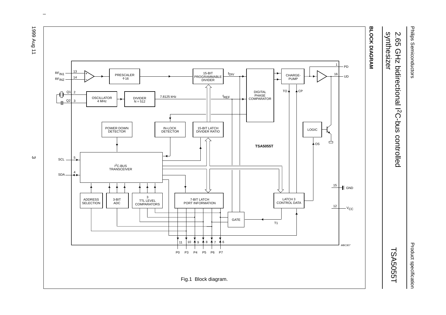# Product specification

## **2.65** synthesizer synthesizer 2.65 GHz bidirectional I GHz bidirectional I<sup>2</sup>C-bus controlled 2C-bus controlled

## TSA5055T



 $\omega$  rotated correctly when browsing through the pdf in the Acrobat reader.This text is here in the pdf in the  $\alpha$ 

ပ

Product specification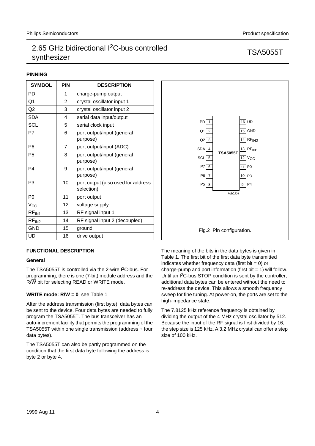## **PINNING**

| <b>SYMBOL</b>     | <b>PIN</b> | <b>DESCRIPTION</b>                               |
|-------------------|------------|--------------------------------------------------|
| PD                | 1          | charge-pump output                               |
| Q1                | 2          | crystal oscillator input 1                       |
| Q <sub>2</sub>    | 3          | crystal oscillator input 2                       |
| <b>SDA</b>        | 4          | serial data input/output                         |
| <b>SCL</b>        | 5          | serial clock input                               |
| P7                | 6          | port output/input (general<br>purpose)           |
| P <sub>6</sub>    | 7          | port output/input (ADC)                          |
| P <sub>5</sub>    | 8          | port output/input (general<br>purpose)           |
| P <sub>4</sub>    | 9          | port output/input (general<br>purpose)           |
| P <sub>3</sub>    | 10         | port output (also used for address<br>selection) |
| P <sub>0</sub>    | 11         | port output                                      |
| $V_{CC}$          | 12         | voltage supply                                   |
| RF <sub>IN1</sub> | 13         | RF signal input 1                                |
| RF <sub>IN2</sub> | 14         | RF signal input 2 (decoupled)                    |
| <b>GND</b>        | 15         | ground                                           |
| UD                | 16         | drive output                                     |

## **FUNCTIONAL DESCRIPTION**

## **General**

The TSA5055T is controlled via the 2-wire I<sup>2</sup>C-bus. For programming, there is one (7-bit) module address and the R/W bit for selecting READ or WRITE mode.

## **WRITE mode: R/W=0**; see Table 1

After the address transmission (first byte), data bytes can be sent to the device. Four data bytes are needed to fully program the TSA5055T. The bus transceiver has an auto-increment facility that permits the programming of the TSA5055T within one single transmission (address + four data bytes).

The TSA5055T can also be partly programmed on the condition that the first data byte following the address is byte 2 or byte 4.



The meaning of the bits in the data bytes is given in Table 1. The first bit of the first data byte transmitted indicates whether frequency data (first bit  $= 0$ ) or charge-pump and port information (first bit  $= 1$ ) will follow. Until an I2C-bus STOP condition is sent by the controller, additional data bytes can be entered without the need to re-address the device. This allows a smooth frequency sweep for fine tuning. At power-on, the ports are set to the high-impedance state.

The 7.8125 kHz reference frequency is obtained by dividing the output of the 4 MHz crystal oscillator by 512. Because the input of the RF signal is first divided by 16, the step size is 125 kHz. A 3.2 MHz crystal can offer a step size of 100 kHz.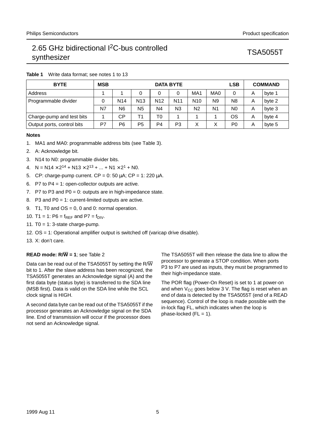| <b>BYTE</b>                | <b>MSB</b> |                 | <b>LSB</b><br><b>DATA BYTE</b> |                 |                 |                 |                 |                |   | <b>COMMAND</b> |
|----------------------------|------------|-----------------|--------------------------------|-----------------|-----------------|-----------------|-----------------|----------------|---|----------------|
| Address                    |            |                 |                                | 0               |                 | MA <sub>1</sub> | MA <sub>0</sub> | 0              | A | byte 1         |
| Programmable divider       |            | N <sub>14</sub> | N <sub>13</sub>                | N <sub>12</sub> | N <sub>11</sub> | N <sub>10</sub> | N <sub>9</sub>  | N <sub>8</sub> | A | byte 2         |
|                            | N7         | N <sub>6</sub>  | N <sub>5</sub>                 | N <sub>4</sub>  | N <sub>3</sub>  | N <sub>2</sub>  | N <sub>1</sub>  | N <sub>0</sub> | A | byte 3         |
| Charge-pump and test bits  |            | CР              | Τ1                             | T0              |                 |                 |                 | OS             | A | byte 4         |
| Output ports, control bits | P7         | P6              | P <sub>5</sub>                 | P4              | P3              | Χ               | v               | P <sub>0</sub> | A | byte 5         |

## **Table 1** Write data format; see notes 1 to 13

## **Notes**

- 1. MA1 and MA0: programmable address bits (see Table 3).
- 2. A: Acknowledge bit.
- 3. N14 to N0: programmable divider bits.
- 4.  $N = N14 \times 2^{14} + N13 \times 2^{13} + ... + N1 \times 2^{1} + N0$ .
- 5. CP: charge-pump current.  $CP = 0$ : 50 µA;  $CP = 1$ : 220 µA.
- 6. P7 to P4 = 1: open-collector outputs are active.
- 7. P7 to P3 and P0 = 0: outputs are in high-impedance state.
- 8. P3 and P0 = 1: current-limited outputs are active.
- 9. T1, T0 and  $OS = 0$ , 0 and 0: normal operation.
- 10. T1 = 1: P6 =  $f_{REF}$  and P7 =  $f_{DIV}$ .
- 11. T $0 = 1$ : 3-state charge-pump.
- 12. OS = 1: Operational amplifier output is switched off (varicap drive disable).
- 13. X: don't care.

## **READ mode: R/W=1**; see Table 2

Data can be read out of the TSA5055T by setting the R/W bit to 1. After the slave address has been recognized, the TSA5055T generates an Acknowledge signal (A) and the first data byte (status byte) is transferred to the SDA line (MSB first). Data is valid on the SDA line while the SCL clock signal is HIGH.

A second data byte can be read out of the TSA5055T if the processor generates an Acknowledge signal on the SDA line. End of transmission will occur if the processor does not send an Acknowledge signal.

The TSA5055T will then release the data line to allow the processor to generate a STOP condition. When ports P3 to P7 are used as inputs, they must be programmed to their high-impedance state.

The POR flag (Power-On Reset) is set to 1 at power-on and when  $V_{CC}$  goes below 3 V. The flag is reset when an end of data is detected by the TSA5055T (end of a READ sequence). Control of the loop is made possible with the in-lock flag FL, which indicates when the loop is phase-locked  $(FL = 1)$ .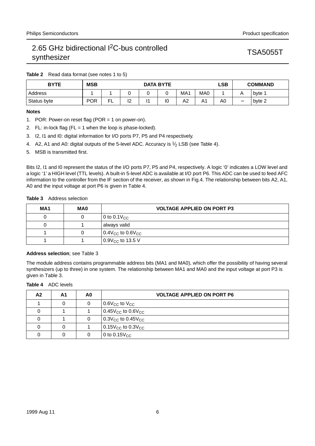**Table 2** Read data format (see notes 1 to 5)

| <b>BYTE</b> | <b>MSB</b> |   |          |  | LSB<br><b>DATA BYTE</b> |                 |                 | <b>COMMAND</b> |            |        |
|-------------|------------|---|----------|--|-------------------------|-----------------|-----------------|----------------|------------|--------|
| Address     |            |   |          |  |                         | MA <sub>1</sub> | MA <sub>0</sub> |                | $\sqrt{ }$ | byte 1 |
| Status byte | <b>POR</b> | ┕ | מו<br>ı∠ |  | 10                      | A2              | Δ.<br>. .       | A0             |            | byte 2 |

## **Notes**

- 1. POR: Power-on reset flag (POR = 1 on power-on).
- 2. FL: in-lock flag ( $FL = 1$  when the loop is phase-locked).
- 3. I2, I1 and I0: digital information for I/O ports P7, P5 and P4 respectively.
- 4. A2, A1 and A0: digital outputs of the 5-level ADC. Accuracy is  $1/2$  LSB (see Table 4).
- 5. MSB is transmitted first.

Bits I2, I1 and I0 represent the status of the I/O ports P7, P5 and P4, respectively. A logic '0' indicates a LOW level and a logic '1' a HIGH level (TTL levels). A built-in 5-level ADC is available at I/O port P6. This ADC can be used to feed AFC information to the controller from the IF section of the receiver, as shown in Fig.4. The relationship between bits A2, A1, A0 and the input voltage at port P6 is given in Table 4.

## **Table 3** Address selection

| MA1 | MA0 | <b>VOLTAGE APPLIED ON PORT P3</b>                |
|-----|-----|--------------------------------------------------|
|     |     | 0 to 0.1 $\rm V_{CC}$                            |
|     |     | always valid                                     |
|     |     | $\vert$ 0.4V <sub>CC</sub> to 0.6V <sub>CC</sub> |
|     |     | 0.9 $V_{CC}$ to 13.5 V                           |

## **Address selection**; see Table 3

The module address contains programmable address bits (MA1 and MA0), which offer the possibility of having several synthesizers (up to three) in one system. The relationship between MA1 and MA0 and the input voltage at port P3 is given in Table 3.

## **Table 4** ADC levels

| A2 | A <sub>1</sub> | A0 | <b>VOLTAGE APPLIED ON PORT P6</b>                 |
|----|----------------|----|---------------------------------------------------|
|    | 0              | 0  | $\vert$ 0.6V $_{\rm CC}$ to V $_{\rm CC}$         |
|    |                |    | 0.45 $V_{CC}$ to 0.6 $V_{CC}$                     |
| 0  |                | 0  | $\vert$ 0.3V <sub>CC</sub> to 0.45V <sub>CC</sub> |
| 0  | 0              |    | $\vert$ 0.15V <sub>CC</sub> to 0.3V <sub>CC</sub> |
|    | 0              |    | 0 to $0.15V_{CC}$                                 |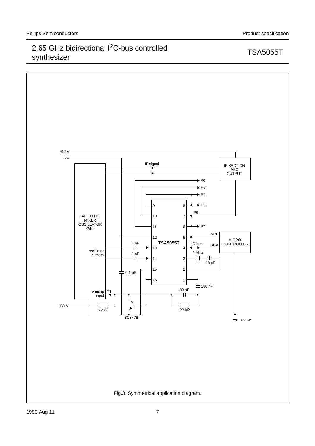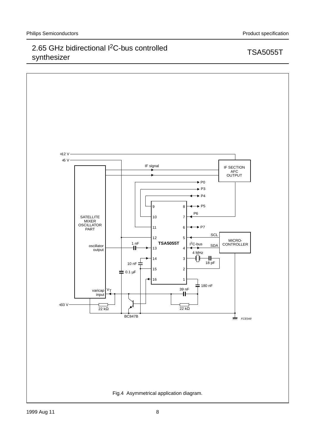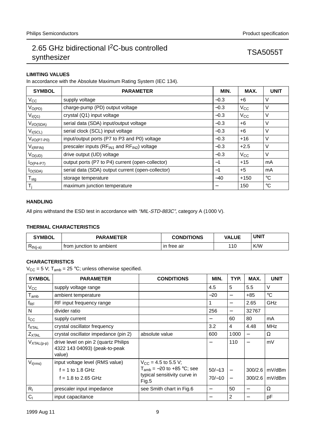## **LIMITING VALUES**

In accordance with the Absolute Maximum Rating System (IEC 134).

| <b>SYMBOL</b>         | <b>PARAMETER</b>                                       | MIN.   | MAX.     | <b>UNIT</b>  |
|-----------------------|--------------------------------------------------------|--------|----------|--------------|
| $V_{\rm CC}$          | supply voltage                                         | $-0.3$ | $+6$     | V            |
| $V_{O(PD)}$           | charge-pump (PD) output voltage                        | $-0.3$ | $V_{CC}$ | V            |
| $V_{I(Q1)}$           | crystal (Q1) input voltage                             | $-0.3$ | $V_{CC}$ | V            |
| V <sub>I/O(SDA)</sub> | serial data (SDA) input/output voltage                 | $-0.3$ | $+6$     | V            |
| $V_{I(SCL)}$          | serial clock (SCL) input voltage                       | $-0.3$ | $+6$     | V            |
| $VI/O(P7-P0)$         | input/output ports (P7 to P3 and P0) voltage           | $-0.3$ | $+16$    | ٧            |
| $V_{I(RFIN)}$         | prescaler inputs ( $RF_{IN1}$ and $RF_{IN2}$ ) voltage | $-0.3$ | $+2.5$   | V            |
| $V_{O(UD)}$           | drive output (UD) voltage                              | $-0.3$ | $V_{CC}$ | V            |
| $IO(P4-P7)$           | output ports (P7 to P4) current (open-collector)       | $-1$   | $+15$    | mA           |
| $I_{O(SDA)}$          | serial data (SDA) output current (open-collector)      | $-1$   | $+5$     | mA           |
| $T_{\text{stg}}$      | storage temperature                                    | $-40$  | $+150$   | °C           |
| $T_i$                 | maximum junction temperature                           |        | 150      | $^{\circ}$ C |

## **HANDLING**

All pins withstand the ESD test in accordance with "MIL-STD-883C", category A (1000 V).

## **THERMAL CHARACTERISTICS**

| <b>SYMBOL</b> | <b>PARAMETER</b>         | <b>CONDITIONS</b> | <b>VALUE</b> | <b>UNIT</b> |
|---------------|--------------------------|-------------------|--------------|-------------|
| $Rth(j-a)$    | from iunction to ambient | tree air<br>ın    | 110          | K/W         |

## **CHARACTERISTICS**

 $V_{CC}$  = 5 V; T<sub>amb</sub> = 25 °C; unless otherwise specified.

| <b>SYMBOL</b>      | <b>PARAMETER</b>                                                                | <b>CONDITIONS</b>                     | MIN.     | TYP.              | MAX.    | <b>UNIT</b>      |
|--------------------|---------------------------------------------------------------------------------|---------------------------------------|----------|-------------------|---------|------------------|
| $V_{CC}$           | supply voltage range                                                            |                                       | 4.5      | 5                 | 5.5     | V                |
| $T_{\mathsf{amb}}$ | ambient temperature                                                             |                                       | $-20$    | —                 | +85     | $^{\circ}C$      |
| $f_{\mathsf{RF}}$  | RF input frequency range                                                        |                                       | 1        | —                 | 2.65    | <b>GHz</b>       |
| N                  | divider ratio                                                                   |                                       | 256      | —                 | 32767   |                  |
| $I_{\rm CC}$       | supply current                                                                  |                                       | —        | 60                | 80      | mA               |
| <b>fxtal</b>       | crystal oscillator frequency                                                    |                                       | 3.2      | 4                 | 4.48    | <b>MHz</b>       |
| $Z_{XTAL}$         | crystal oscillator impedance (pin 2)                                            | absolute value                        | 600      | 1000              |         | Ω                |
| $V_{XTAL(p-p)}$    | drive level on pin 2 (quartz Philips<br>4322 143 04093) (peak-to-peak<br>value) |                                       |          | 110               |         | mV               |
| $V_{I(rms)}$       | input voltage level (RMS value)                                                 | $V_{\rm CC}$ = 4.5 to 5.5 V;          |          |                   |         |                  |
|                    | $f = 1$ to 1.8 GHz                                                              | $T_{amb}$ = -20 to +85 °C; see        | $50/-13$ | $\qquad \qquad -$ | 300/2.6 | mV/dBm           |
|                    | $f = 1.8$ to 2.65 GHz                                                           | typical sensitivity curve in<br>Fig.5 | $70/-10$ |                   |         | 300/2.6   mV/dBm |
| $R_1$              | prescaler input impedance                                                       | see Smith chart in Fig.6              |          | 50                |         | Ω                |
| C <sub>1</sub>     | input capacitance                                                               |                                       |          | 2                 |         | рF               |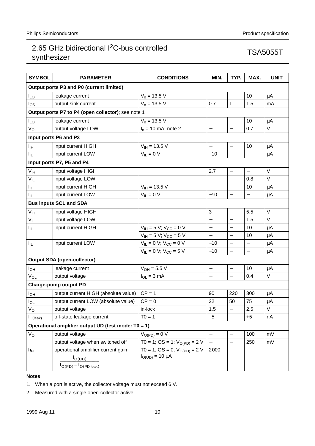| <b>SYMBOL</b>   | <b>PARAMETER</b>                                    | <b>CONDITIONS</b>                 | MIN.                     | TYP.                     | MAX.                     | <b>UNIT</b>  |
|-----------------|-----------------------------------------------------|-----------------------------------|--------------------------|--------------------------|--------------------------|--------------|
|                 | Output ports P3 and P0 (current limited)            |                                   |                          |                          |                          |              |
| $I_{LO}$        | leakage current                                     | $V_0 = 13.5 V$                    | $\overline{\phantom{0}}$ | $\overline{\phantom{0}}$ | 10                       | μA           |
| los             | output sink current                                 | $V_0$ = 13.5 V                    | 0.7                      | 1                        | 1.5                      | mA           |
|                 | Output ports P7 to P4 (open collector); see note 1  |                                   |                          |                          |                          |              |
| I <sub>LO</sub> | leakage current                                     | $V_0 = 13.5 V$                    | —                        | $\overline{\phantom{0}}$ | 10                       | μA           |
| $V_{OL}$        | output voltage LOW                                  | $Io$ = 10 mA; note 2              |                          |                          | 0.7                      | $\vee$       |
|                 | Input ports P6 and P3                               |                                   |                          |                          |                          |              |
| Iщ              | input current HIGH                                  | $V_{\text{IH}}$ = 13.5 V          | $\overline{\phantom{0}}$ | $\qquad \qquad -$        | 10                       | $\mu$ A      |
| Ιı              | input current LOW                                   | $V_{IL} = 0 V$                    | $-10$                    |                          |                          | μA           |
|                 | Input ports P7, P5 and P4                           |                                   |                          |                          |                          |              |
| $V_{\text{IH}}$ | input voltage HIGH                                  |                                   | 2.7                      | $\overline{\phantom{0}}$ | $\overline{\phantom{0}}$ | V            |
| $V_{IL}$        | input voltage LOW                                   |                                   |                          |                          | 0.8                      | $\vee$       |
| I <sub>IH</sub> | input current HIGH                                  | $V_{\text{IH}} = 13.5 \text{ V}$  | $\overline{\phantom{0}}$ | $\qquad \qquad -$        | 10                       | μA           |
| Iμ              | input current LOW                                   | $V_{IL} = 0 V$                    | $-10$                    | $\overline{\phantom{0}}$ | $\overline{\phantom{0}}$ | μA           |
|                 | <b>Bus inputs SCL and SDA</b>                       |                                   |                          |                          |                          |              |
| $V_{\text{IH}}$ | input voltage HIGH                                  |                                   | 3                        | $\qquad \qquad -$        | 5.5                      | V            |
| $V_{IL}$        | input voltage LOW                                   |                                   | $\overline{\phantom{0}}$ |                          | 1.5                      | $\vee$       |
| Iін             | input current HIGH                                  | $V_{IH} = 5 V$ ; $V_{CC} = 0 V$   | $\overline{\phantom{0}}$ | $\qquad \qquad -$        | 10                       | μA           |
|                 |                                                     | $V_{IH} = 5 V$ ; $V_{CC} = 5 V$   | $\overline{\phantom{0}}$ | $\equiv$                 | 10                       | μA           |
| Ιı              | input current LOW                                   | $V_{IL} = 0 V; V_{CC} = 0 V$      | $-10$                    | $\overline{a}$           | —                        | μA           |
|                 |                                                     | $V_{IL} = 0 V$ ; $V_{CC} = 5 V$   | $-10$                    | $\overline{a}$           |                          | $\mu$ A      |
|                 | <b>Output SDA (open-collector)</b>                  |                                   |                          |                          |                          |              |
| Іон             | leakage current                                     | $V_{OH} = 5.5 V$                  | —                        | $\qquad \qquad -$        | 10                       | μA           |
| V <sub>OL</sub> | output voltage                                      | $I_{OL} = 3 mA$                   | $\overline{\phantom{0}}$ | $\overline{\phantom{0}}$ | 0.4                      | $\mathsf{V}$ |
|                 | <b>Charge-pump output PD</b>                        |                                   |                          |                          |                          |              |
| I <sub>ОН</sub> | output current HIGH (absolute value)                | $CP = 1$                          | 90                       | 220                      | 300                      | μA           |
| l <sub>OL</sub> | output current LOW (absolute value)                 | $CP = 0$                          | 22                       | 50                       | 75                       | μA           |
| $V_{\rm O}$     | output voltage                                      | in-lock                           | 1.5                      |                          | 2.5                      | $\sf V$      |
| $I_{O(leak)}$   | off-state leakage current                           | $TO = 1$                          | $-5$                     | $\overline{\phantom{0}}$ | $+5$                     | nA           |
|                 | Operational amplifier output UD (test mode: T0 = 1) |                                   |                          |                          |                          |              |
| Vo              | output voltage                                      | $V_{O(PD)} = 0 V$                 | —                        | $\qquad \qquad -$        | 100                      | mV           |
|                 | output voltage when switched off                    | T0 = 1; OS = 1; $V_{O(PD)}$ = 2 V |                          | $\overline{\phantom{0}}$ | 250                      | mV           |
| $h_{FE}$        | operational amplifier current gain                  | $TO = 1, OS = 0; VO(PD) = 2 V$    | 2000                     |                          |                          |              |
|                 | $I_{O(UD)}$                                         | $I_{O(UD)} = 10 \mu A$            |                          |                          |                          |              |
|                 | $I_{O(PD)} - I_{O(PD \text{ leak})}$                |                                   |                          |                          |                          |              |

## **Notes**

1. When a port is active, the collector voltage must not exceed 6 V.

2. Measured with a single open-collector active.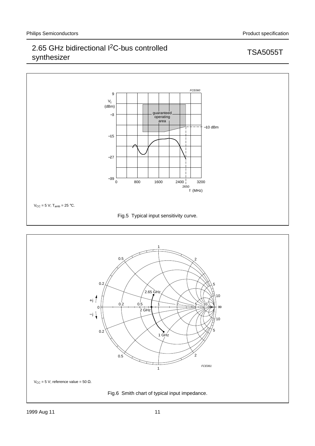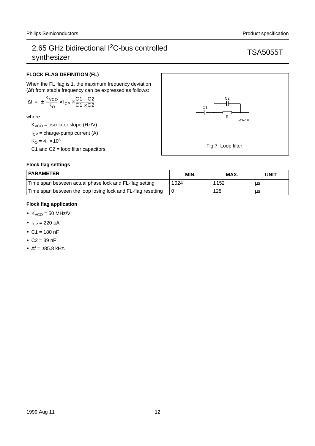## **FLOCK FLAG DEFINITION (FL)**

When the FL flag is 1, the maximum frequency deviation (∆f) from stable frequency can be expressed as follows:

$$
\Delta f\,=\,\pm\biggl(\frac{K_{VCO}}{K_O}\times I_{CP}\times\frac{C1+C2}{C1\times C2}\biggr)
$$

where:

 $K_{VCO}$  = oscillator slope (Hz/V)

 $I_{CP}$  = charge-pump current (A)

$$
K_O = 4 \times 10^6
$$

C1 and C2 = loop filter capacitors.

## **Flock flag settings**

| <b>PARAMETER</b>                                             | MIN. | MAX. | UNIT |
|--------------------------------------------------------------|------|------|------|
| Time span between actual phase lock and FL-flag setting      | 1024 | 1152 | μs   |
| Time span between the loop losing lock and FL-flag resetting |      | 128  | μs   |

## **Flock flag application**

- $K_{VCO} = 50$  MHz/V
- $I_{CP} = 220 \mu A$
- $C1 = 180$  nF
- $C2 = 39$  nF
- $\Delta f = \pm 85.8$  kHz.

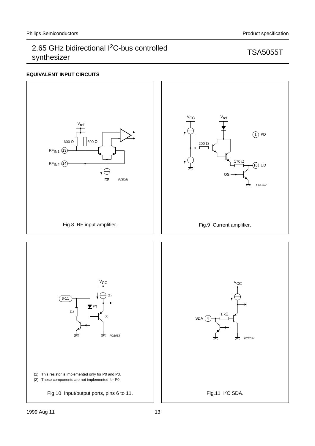## **EQUIVALENT INPUT CIRCUITS**

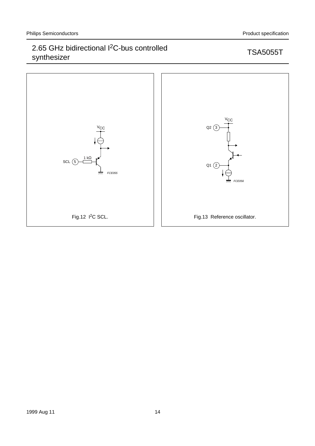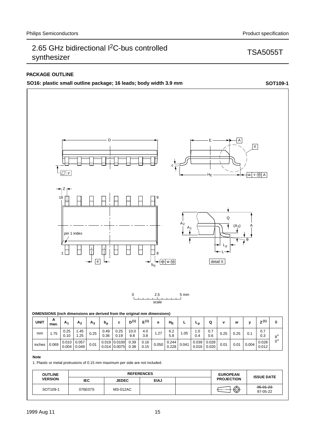## **PACKAGE OUTLINE**

**SO16: plastic small outline package; 16 leads; body width 3.9 mm SOT109-1**



1. Plastic or metal protrusions of 0.15 mm maximum per side are not included.

| <b>OUTLINE</b><br><b>VERSION</b> | <b>REFERENCES</b> |                 |             |  | <b>EUROPEAN</b>   |                             |
|----------------------------------|-------------------|-----------------|-------------|--|-------------------|-----------------------------|
|                                  | <b>IEC</b>        | <b>JEDEC</b>    | <b>EIAJ</b> |  | <b>PROJECTION</b> | <b>ISSUE DATE</b>           |
| SOT109-1                         | 076E07S           | <b>MS-012AC</b> |             |  | $\bigoplus$       | $-95 - 01 - 23$<br>97-05-22 |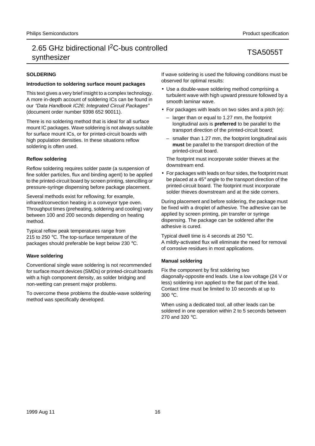## **SOLDERING**

## **Introduction to soldering surface mount packages**

This text gives a very brief insight to a complex technology. A more in-depth account of soldering ICs can be found in our "Data Handbook IC26; Integrated Circuit Packages" (document order number 9398 652 90011).

There is no soldering method that is ideal for all surface mount IC packages. Wave soldering is not always suitable for surface mount ICs, or for printed-circuit boards with high population densities. In these situations reflow soldering is often used.

## **Reflow soldering**

Reflow soldering requires solder paste (a suspension of fine solder particles, flux and binding agent) to be applied to the printed-circuit board by screen printing, stencilling or pressure-syringe dispensing before package placement.

Several methods exist for reflowing; for example, infrared/convection heating in a conveyor type oven. Throughput times (preheating, soldering and cooling) vary between 100 and 200 seconds depending on heating method.

Typical reflow peak temperatures range from 215 to 250 °C. The top-surface temperature of the packages should preferable be kept below 230 °C.

## **Wave soldering**

Conventional single wave soldering is not recommended for surface mount devices (SMDs) or printed-circuit boards with a high component density, as solder bridging and non-wetting can present major problems.

To overcome these problems the double-wave soldering method was specifically developed.

If wave soldering is used the following conditions must be observed for optimal results:

- Use a double-wave soldering method comprising a turbulent wave with high upward pressure followed by a smooth laminar wave.
- For packages with leads on two sides and a pitch (e):
	- larger than or equal to 1.27 mm, the footprint longitudinal axis is **preferred** to be parallel to the transport direction of the printed-circuit board;
	- smaller than 1.27 mm, the footprint longitudinal axis **must** be parallel to the transport direction of the printed-circuit board.

The footprint must incorporate solder thieves at the downstream end.

• For packages with leads on four sides, the footprint must be placed at a 45° angle to the transport direction of the printed-circuit board. The footprint must incorporate solder thieves downstream and at the side corners.

During placement and before soldering, the package must be fixed with a droplet of adhesive. The adhesive can be applied by screen printing, pin transfer or syringe dispensing. The package can be soldered after the adhesive is cured.

Typical dwell time is 4 seconds at 250 °C. A mildly-activated flux will eliminate the need for removal of corrosive residues in most applications.

## **Manual soldering**

Fix the component by first soldering two diagonally-opposite end leads. Use a low voltage (24 V or less) soldering iron applied to the flat part of the lead. Contact time must be limited to 10 seconds at up to 300 °C.

When using a dedicated tool, all other leads can be soldered in one operation within 2 to 5 seconds between 270 and 320 °C.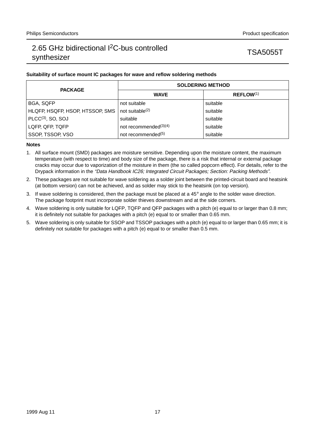## **Suitability of surface mount IC packages for wave and reflow soldering methods**

| <b>PACKAGE</b>                  | <b>SOLDERING METHOD</b>        |                       |  |  |
|---------------------------------|--------------------------------|-----------------------|--|--|
|                                 | <b>WAVE</b>                    | REFLOW <sup>(1)</sup> |  |  |
| BGA, SQFP                       | not suitable                   | suitable              |  |  |
| HLQFP, HSQFP, HSOP, HTSSOP, SMS | not suitable $(2)$             | suitable              |  |  |
| $PLCC(3)$ , SO, SOJ             | suitable                       | suitable              |  |  |
| LQFP, QFP, TQFP                 | not recommended $(3)(4)$       | suitable              |  |  |
| SSOP, TSSOP, VSO                | not recommended <sup>(5)</sup> | suitable              |  |  |

## **Notes**

- 1. All surface mount (SMD) packages are moisture sensitive. Depending upon the moisture content, the maximum temperature (with respect to time) and body size of the package, there is a risk that internal or external package cracks may occur due to vaporization of the moisture in them (the so called popcorn effect). For details, refer to the Drypack information in the "Data Handbook IC26; Integrated Circuit Packages; Section: Packing Methods".
- 2. These packages are not suitable for wave soldering as a solder joint between the printed-circuit board and heatsink (at bottom version) can not be achieved, and as solder may stick to the heatsink (on top version).
- 3. If wave soldering is considered, then the package must be placed at a  $45^\circ$  angle to the solder wave direction. The package footprint must incorporate solder thieves downstream and at the side corners.
- 4. Wave soldering is only suitable for LQFP, TQFP and QFP packages with a pitch (e) equal to or larger than 0.8 mm; it is definitely not suitable for packages with a pitch (e) equal to or smaller than 0.65 mm.
- 5. Wave soldering is only suitable for SSOP and TSSOP packages with a pitch (e) equal to or larger than 0.65 mm; it is definitely not suitable for packages with a pitch (e) equal to or smaller than 0.5 mm.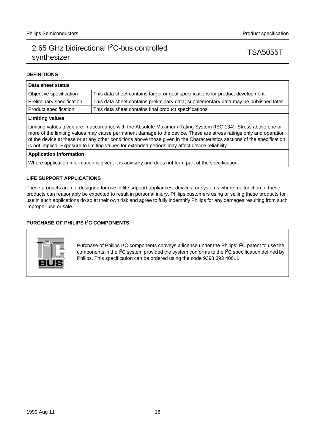## **DEFINITIONS**

| Data sheet status                                                                                                                                                                                                                                                                                                                                                                                                                                                  |                                                                                       |  |  |  |  |
|--------------------------------------------------------------------------------------------------------------------------------------------------------------------------------------------------------------------------------------------------------------------------------------------------------------------------------------------------------------------------------------------------------------------------------------------------------------------|---------------------------------------------------------------------------------------|--|--|--|--|
| Objective specification                                                                                                                                                                                                                                                                                                                                                                                                                                            | This data sheet contains target or goal specifications for product development.       |  |  |  |  |
| Preliminary specification                                                                                                                                                                                                                                                                                                                                                                                                                                          | This data sheet contains preliminary data; supplementary data may be published later. |  |  |  |  |
| Product specification                                                                                                                                                                                                                                                                                                                                                                                                                                              | This data sheet contains final product specifications.                                |  |  |  |  |
| <b>Limiting values</b>                                                                                                                                                                                                                                                                                                                                                                                                                                             |                                                                                       |  |  |  |  |
| Limiting values given are in accordance with the Absolute Maximum Rating System (IEC 134). Stress above one or<br>more of the limiting values may cause permanent damage to the device. These are stress ratings only and operation<br>of the device at these or at any other conditions above those given in the Characteristics sections of the specification<br>is not implied. Exposure to limiting values for extended periods may affect device reliability. |                                                                                       |  |  |  |  |
| <b>Application information</b>                                                                                                                                                                                                                                                                                                                                                                                                                                     |                                                                                       |  |  |  |  |

Where application information is given, it is advisory and does not form part of the specification.

## **LIFE SUPPORT APPLICATIONS**

These products are not designed for use in life support appliances, devices, or systems where malfunction of these products can reasonably be expected to result in personal injury. Philips customers using or selling these products for use in such applications do so at their own risk and agree to fully indemnify Philips for any damages resulting from such improper use or sale.

## **PURCHASE OF PHILIPS I2C COMPONENTS**



Purchase of Philips I<sup>2</sup>C components conveys a license under the Philips' I<sup>2</sup>C patent to use the components in the I2C system provided the system conforms to the I2C specification defined by Philips. This specification can be ordered using the code 9398 393 40011.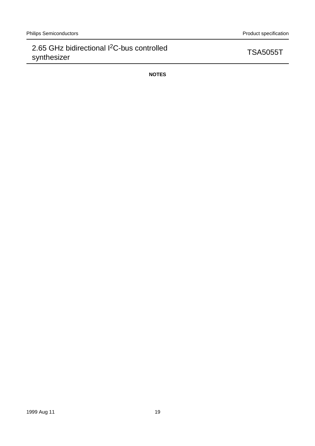**NOTES**